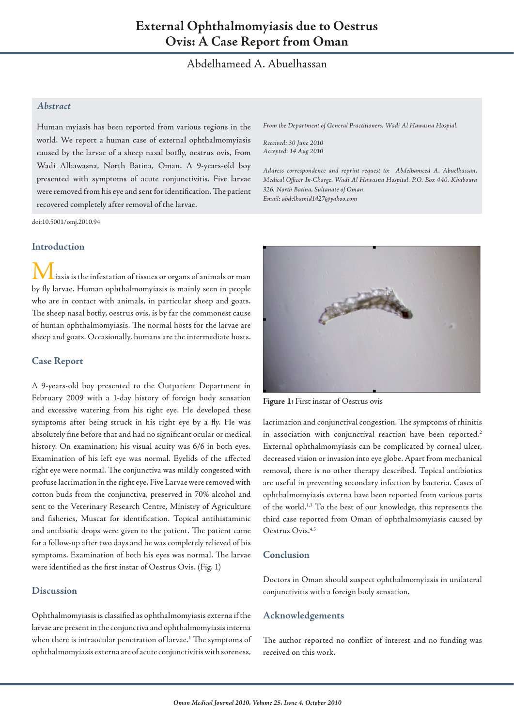# Abdelhameed A. Abuelhassan

# *Abstract*

Human myiasis has been reported from various regions in the world. We report a human case of external ophthalmomyiasis caused by the larvae of a sheep nasal botfly, oestrus ovis, from Wadi Alhawasna, North Batina, Oman. A 9-years-old boy presented with symptoms of acute conjunctivitis. Five larvae were removed from his eye and sent for identification. The patient recovered completely after removal of the larvae.

doi:10.5001/omj.2010.94

#### **Introduction**

iasis is the infestation of tissues or organs of animals or man by fly larvae. Human ophthalmomyiasis is mainly seen in people who are in contact with animals, in particular sheep and goats. The sheep nasal botfly, oestrus ovis, is by far the commonest cause of human ophthalmomyiasis. The normal hosts for the larvae are sheep and goats. Occasionally, humans are the intermediate hosts.

#### **Case Report**

A 9-years-old boy presented to the Outpatient Department in February 2009 with a 1-day history of foreign body sensation and excessive watering from his right eye. He developed these symptoms after being struck in his right eye by a fly. He was absolutely fine before that and had no significant ocular or medical history. On examination; his visual acuity was 6/6 in both eyes. Examination of his left eye was normal. Eyelids of the affected right eye were normal. The conjunctiva was mildly congested with profuse lacrimation in the right eye. Five Larvae were removed with cotton buds from the conjunctiva, preserved in 70% alcohol and sent to the Veterinary Research Centre, Ministry of Agriculture and fisheries, Muscat for identification. Topical antihistaminic and antibiotic drops were given to the patient. The patient came for a follow-up after two days and he was completely relieved of his symptoms. Examination of both his eyes was normal. The larvae were identified as the first instar of Oestrus Ovis. (Fig. 1)

## **Discussion**

Ophthalmomyiasis is classified as ophthalmomyiasis externa if the larvae are present in the conjunctiva and ophthalmomyiasis interna when there is intraocular penetration of larvae. $^1$  The symptoms of ophthalmomyiasis externa are of acute conjunctivitis with soreness,

*From the Department of General Practitioners, Wadi Al Hawasna Hospial.* 

*Received: 30 June 2010 Accepted: 14 Aug 2010*

*Address correspondence and reprint request to: Abdelhameed A. Abuelhassan, Medical Officer In-Charge, Wadi Al Hawasna Hospital, P.O. Box 440, Khaboura 326, North Batina, Sultanate of Oman. Email: abdelhamid1427@yahoo.com*



**Figure 1:** First instar of Oestrus ovis

lacrimation and conjunctival congestion. The symptoms of rhinitis in association with conjunctival reaction have been reported.<sup>2</sup> External ophthalmomyiasis can be complicated by corneal ulcer, decreased vision or invasion into eye globe. Apart from mechanical removal, there is no other therapy described. Topical antibiotics are useful in preventing secondary infection by bacteria. Cases of ophthalmomyiasis externa have been reported from various parts of the world.1,3 To the best of our knowledge, this represents the third case reported from Oman of ophthalmomyiasis caused by Oestrus Ovis.4,5

## **Conclusion**

Doctors in Oman should suspect ophthalmomyiasis in unilateral conjunctivitis with a foreign body sensation.

#### **Acknowledgements**

The author reported no conflict of interest and no funding was received on this work.